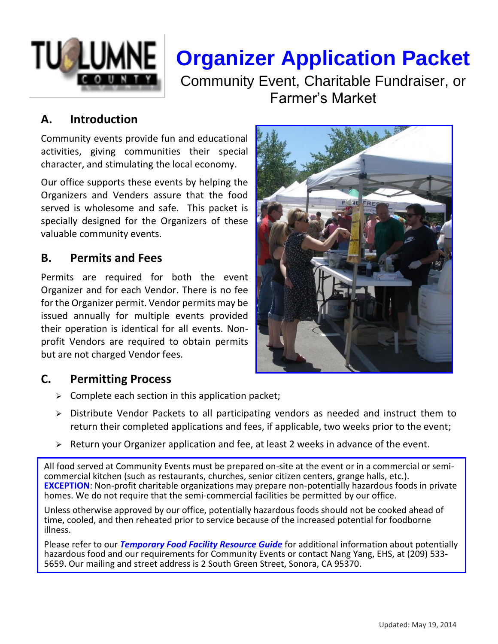

# **Organizer Application Packet**

Community Event, Charitable Fundraiser, or Farmer's Market

# **A. Introduction**

Community events provide fun and educational activities, giving communities their special character, and stimulating the local economy.

Our office supports these events by helping the Organizers and Venders assure that the food served is wholesome and safe. This packet is specially designed for the Organizers of these valuable community events.

#### **B. Permits and Fees**

Permits are required for both the event Organizer and for each Vendor. There is no fee for the Organizer permit. Vendor permits may be issued annually for multiple events provided their operation is identical for all events. Nonprofit Vendors are required to obtain permits but are not charged Vendor fees.

# **C. Permitting Process**

- $\triangleright$  Complete each section in this application packet;
- ➢ Distribute Vendor Packets to all participating vendors as needed and instruct them to return their completed applications and fees, if applicable, two weeks prior to the event;
- ➢ Return your Organizer application and fee, at least 2 weeks in advance of the event.

All food served at Community Events must be prepared on-site at the event or in a commercial or semicommercial kitchen (such as restaurants, churches, senior citizen centers, grange halls, etc.). **EXCEPTION**: Non-profit charitable organizations may prepare non-potentially hazardous foods in private homes. We do not require that the semi-commercial facilities be permitted by our office.

Unless otherwise approved by our office, potentially hazardous foods should not be cooked ahead of time, cooled, and then reheated prior to service because of the increased potential for foodborne illness.

Please refer to our *Temporary Food Facility Resource Guide* for additional information about potentially hazardous food and our requirements for Community Events or contact Nang Yang, EHS, at (209) 533-5659. Our mailing and street address is 2 South Green Street, Sonora, CA 95370.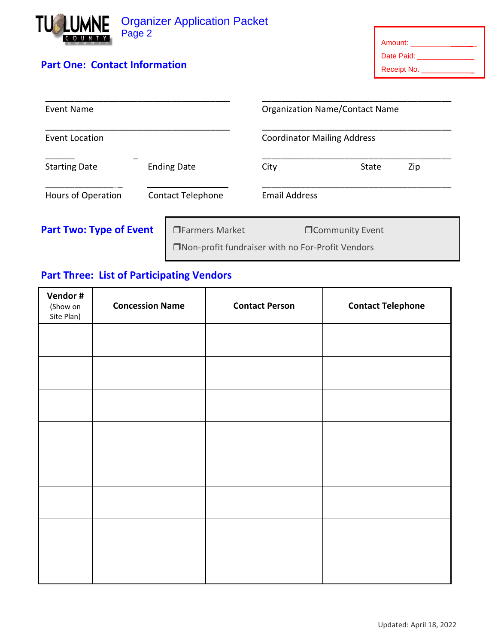

#### **Part One: Contact Information**

| Amount:     |
|-------------|
| Date Paid:  |
| Receipt No. |

| Event Name<br><b>Event Location</b> |                          |                                                   | <b>Organization Name/Contact Name</b><br><b>Coordinator Mailing Address</b> |                         |  |
|-------------------------------------|--------------------------|---------------------------------------------------|-----------------------------------------------------------------------------|-------------------------|--|
|                                     |                          |                                                   |                                                                             |                         |  |
| Hours of Operation                  | <b>Contact Telephone</b> |                                                   | <b>Email Address</b>                                                        |                         |  |
| <b>Part Two: Type of Event</b>      |                          | □Farmers Market                                   |                                                                             | <b>OCommunity Event</b> |  |
|                                     |                          | □Non-profit fundraiser with no For-Profit Vendors |                                                                             |                         |  |

# **Part Three: List of Participating Vendors**

| Vendor #<br>(Show on<br>Site Plan) | <b>Concession Name</b> | <b>Contact Person</b> | <b>Contact Telephone</b> |
|------------------------------------|------------------------|-----------------------|--------------------------|
|                                    |                        |                       |                          |
|                                    |                        |                       |                          |
|                                    |                        |                       |                          |
|                                    |                        |                       |                          |
|                                    |                        |                       |                          |
|                                    |                        |                       |                          |
|                                    |                        |                       |                          |
|                                    |                        |                       |                          |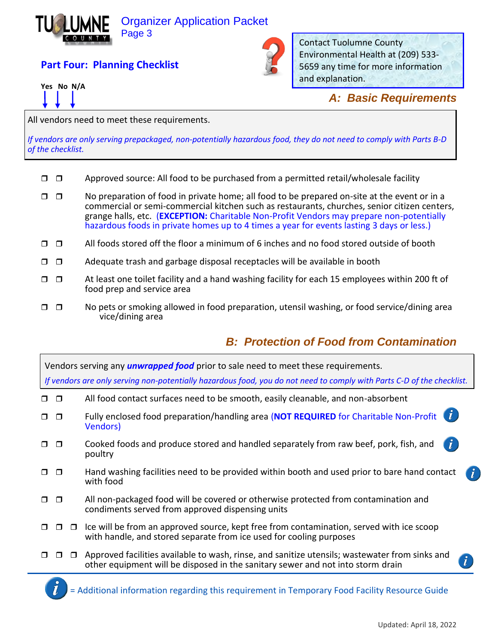

#### Organizer Application Packet Page 3

# **Part Four: Planning Checklist**





Contact Tuolumne County Environmental Health at (209) 533- 5659 any time for more information and explanation.

#### *A: Basic Requirements*

All vendors need to meet these requirements.

*If vendors are only serving prepackaged, non-potentially hazardous food, they do not need to comply with Parts B-D of the checklist.*

- $\Box$   $\Box$  Approved source: All food to be purchased from a permitted retail/wholesale facility
- $\Box$   $\Box$  No preparation of food in private home; all food to be prepared on-site at the event or in a commercial or semi-commercial kitchen such as restaurants, churches, senior citizen centers, grange halls, etc. (**EXCEPTION:** Charitable Non-Profit Vendors may prepare non-potentially hazardous foods in private homes up to 4 times a year for events lasting 3 days or less.)
- $\Box$   $\Box$  All foods stored off the floor a minimum of 6 inches and no food stored outside of booth
- $\Box$   $\Box$  Adequate trash and garbage disposal receptacles will be available in booth
- $\Box$   $\Box$  At least one toilet facility and a hand washing facility for each 15 employees within 200 ft of food prep and service area
- $\Box$   $\Box$  No pets or smoking allowed in food preparation, utensil washing, or food service/dining area vice/dining area

# *B: Protection of Food from Contamination*

Vendors serving any *unwrapped food* prior to sale need to meet these requirements. *If vendors are only serving non-potentially hazardous food, you do not need to comply with Parts C-D of the checklist.* 

- $\Box$   $\Box$  All food contact surfaces need to be smooth, easily cleanable, and non-absorbent
- $\tilde{I}$  Fully enclosed food preparation/handling area (**NOT REQUIRED** for Charitable Non-Profit Vendors)
- $\Box$   $\Box$  Cooked foods and produce stored and handled separately from raw beef, pork, fish, and poultry
- $\Box$   $\Box$  Hand washing facilities need to be provided within booth and used prior to bare hand contact with food
- $\Box$   $\Box$  All non-packaged food will be covered or otherwise protected from contamination and condiments served from approved dispensing units
- $\Box$   $\Box$   $\Box$  Ice will be from an approved source, kept free from contamination, served with ice scoop with handle, and stored separate from ice used for cooling purposes
- $\Box$   $\Box$   $\Box$  Approved facilities available to wash, rinse, and sanitize utensils; wastewater from sinks and other equipment will be disposed in the sanitary sewer and not into storm drain

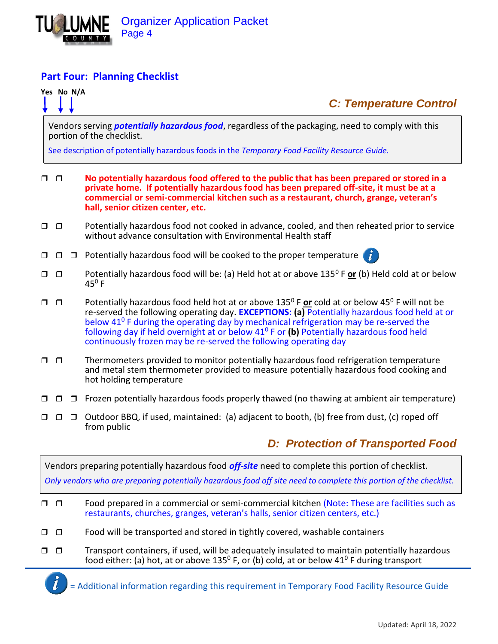

#### **Part Four: Planning Checklist**

# portion of the checklist. See description of potentially hazardous foods in the *Temporary Food Facility Resource Guide.*  **No potentially hazardous food offered to the public that has been prepared or stored in a private home. If potentially hazardous food has been prepared off-site, it must be at a commercial or semi-commercial kitchen such as a restaurant, church, grange, veteran's hall, senior citizen center, etc.**  $\Box$   $\Box$  Potentially hazardous food not cooked in advance, cooled, and then reheated prior to service without advance consultation with Environmental Health staff  $\Box$   $\Box$   $\Box$  Potentially hazardous food will be cooked to the proper temperature  $\ddot{\mathbf{i}}$  Potentially hazardous food will be: (a) Held hot at or above 135<sup>0</sup> F **or** (b) Held cold at or below  $45^0$  F □ □ Potentially hazardous food held hot at or above 135<sup>0</sup> F or cold at or below 45<sup>0</sup> F will not be re-served the following operating day. **EXCEPTIONS: (a)** Potentially hazardous food held at or below 41<sup>0</sup> F during the operating day by mechanical refrigeration may be re-served the following day if held overnight at or below 41<sup>0</sup> F or **(b)** Potentially hazardous food held continuously frozen may be re-served the following operating day

**Yes No N/A** 

Vendors serving *potentially hazardous food*, regardless of the packaging, need to comply with this

- $\Box$   $\Box$  Thermometers provided to monitor potentially hazardous food refrigeration temperature and metal stem thermometer provided to measure potentially hazardous food cooking and hot holding temperature
- $\Box$   $\Box$   $\Box$  Frozen potentially hazardous foods properly thawed (no thawing at ambient air temperature)
- $\Box$   $\Box$   $\Box$  Outdoor BBQ, if used, maintained: (a) adjacent to booth, (b) free from dust, (c) roped off from public

# *D: Protection of Transported Food*

*C: Temperature Control* 

Vendors preparing potentially hazardous food *off-site* need to complete this portion of checklist. *Only vendors who are preparing potentially hazardous food off site need to complete this portion of the checklist.*   $\Box$   $\Box$  Food prepared in a commercial or semi-commercial kitchen (Note: These are facilities such as restaurants, churches, granges, veteran's halls, senior citizen centers, etc.)  $\Box$   $\Box$  Food will be transported and stored in tightly covered, washable containers  $\Box$   $\Box$  Transport containers, if used, will be adequately insulated to maintain potentially hazardous food either: (a) hot, at or above 135<sup>0</sup> F, or (b) cold, at or below 41<sup>0</sup> F during transport

= Additional information regarding this requirement in Temporary Food Facility Resource Guide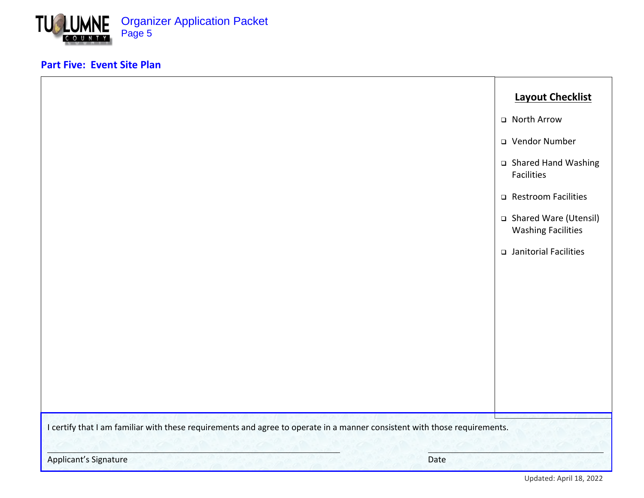

#### **Part Five: Event Site Plan**